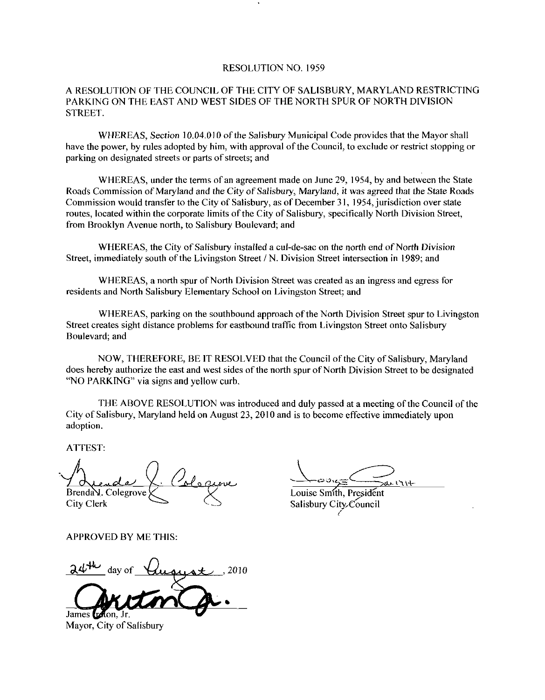## RESOLUTION NO. 1959

## A RESOLUTION OF THE COUNCIL OF THE CITY OF SALISBURY, MARYLAND RESTRICTING PARKING ON THE EAST AND WEST SIDES OF THE NORTH SPUR OF NORTH DIVISION STREET

WHEREAS, Section 10.04.010 of the Salisbury Municipal Code provides that the Mayor shall have the power, by rules adopted by him, with approval of the Council, to exclude or restrict stopping or parking on designated streets or parts of streets; and

WHEREAS, under the terms of an agreement made on June 29, 1954, by and between the State Roads Commission of Maryland and the City of Salisbury, Maryland, it was agreed that the State Roads Commission would transfer to the City of Salisbury, as of December 31, 1954, jurisdiction over state routes, located within the corporate limits of the City of Salisbury, specifically North Division Street, from Brooklyn Avenue north, to Salisbury Boulevard; and

WHEREAS, the City of Salisbury installed a cul-de-sac on the north end of North Division Street, immediately south of the Livingston Street / N. Division Street intersection in 1989; and

WHEREAS, a north spur of North Division Street was created as an ingress and egress for residents and North Salisbury Elementary School on Livingston Street; and

WHEREAS, parking on the southbound approach of the North Division Street spur to Livingston Street creates sight distance problems for eastbound traffic from Livingston Street onto Salisbury Boulevard; and

NOW, THEREFORE, BE IT RESOLVED that the Council of the City of Salisbury, Maryland does hereby authorize the east and west sides of the north spur of North Division Street to be designated "NO PARKING" via signs and yellow curb.

THE ABOVE RESOLUTION was introduced and duly passed at ameeting ofthe Council ofthe City of Salisbury, Maryland held on August 23, 2010 and is to become effective immediately upon adoption

ATTEST

Brenda V. Colegrove City Clerk

 $\frac{1}{\frac{1}{\frac{1}{\frac{1}{1}}\frac{1}{1}}\frac{1}{1}}$  and  $\frac{1}{1}$  and  $\frac{1}{1}$ 

Louise Smith. President Salisbury City<sub>council</sub>

APPROVED BY ME THIS

day of  $\overline{\mathcal{U}}$ ugyst, 2010 James **refton**. Jr

Mayor, City of Salisbury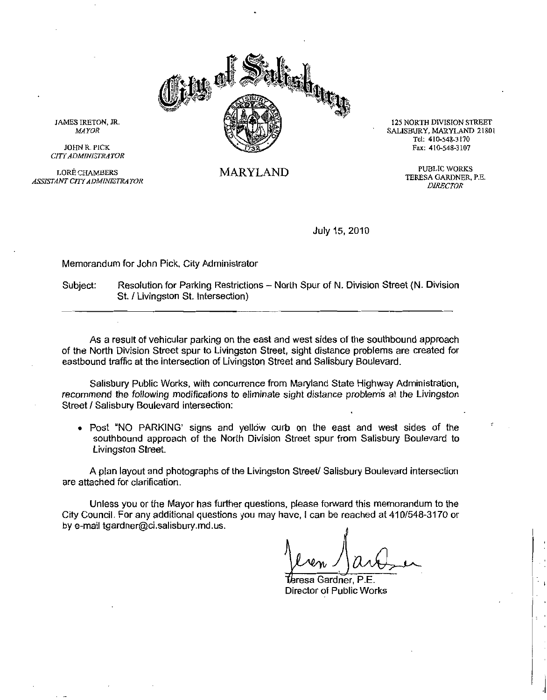

MARYLAND

125 NORTH DIVISION STREET SALISBURY MARYLAND 21801 RTH DIVISION ST<br>JRY, MARYLAND<br>"el: 410-548-3170<br>'ax: 410-548-3107 Tel: 410-548-3170<br>Fax: 410-548-3107

> PUBLIC WORKS TERESA GARDNER, P.E. **DIRECTOR**

July 15, 2010

Memorandum for John Pick, City Administrator

Subject: Resolution for Parking Restrictions - North Spur of N. Division Street (N. Division St. / Livingston St. Intersection)

As <sup>a</sup> result of vehicular parking on the east and west sides of the southbound approach of the North Division Street spur to Livingston Street sight distance problems are created for eastbound traffic at the intersection of Livingston Street and Salisbury Boulevard

Salisbury Public Works, with concurrence from Maryland State Highway Administration. recommend the following modifications to eliminate sight distance problems at the Livingston Street / Salisbury Boulevard intersection:

• Post "NO PARKING' signs and yellow curb on the east and west sides of the southbound approach of the North Division Street spur from Salisbury Boulevard to Livingston Street

A plan layout and photographs of the Livingston Street/ Salisbury Boulevard intersection are attached for clarification

Unless you or the Mayor has further questions please forward this memorandum to the City Council. For any additional questions you may have, I can be reached at 410/548-3170 or by e-mail tgardner@ci.salisbury.md.us. southbound approach of the Nc<br>Livingston Street.<br>A plan layout and photographs of<br>are attached for clarification.<br>Unless you or the Mayor has furt<br>City Council. For any additional question<br>by e-mail tgardner@ci.salisbury.m

Zv

 $\frac{1}{\sqrt{2}}$ resa Gardner, P.E. Director of Public Works

JAMES IRETON, JR. MAYOR JOHN R. PICK

CITY ADMINISTRATOR

LORE CHAMBERS ASSISTANT CITYADMINISTRATOR